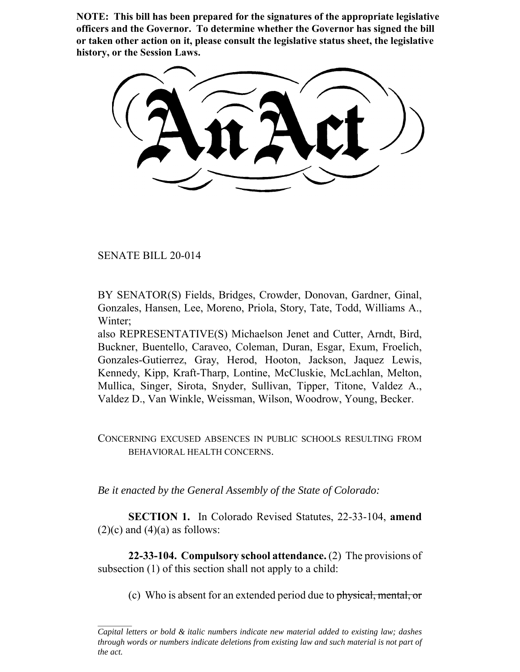**NOTE: This bill has been prepared for the signatures of the appropriate legislative officers and the Governor. To determine whether the Governor has signed the bill or taken other action on it, please consult the legislative status sheet, the legislative history, or the Session Laws.**

SENATE BILL 20-014

BY SENATOR(S) Fields, Bridges, Crowder, Donovan, Gardner, Ginal, Gonzales, Hansen, Lee, Moreno, Priola, Story, Tate, Todd, Williams A., Winter;

also REPRESENTATIVE(S) Michaelson Jenet and Cutter, Arndt, Bird, Buckner, Buentello, Caraveo, Coleman, Duran, Esgar, Exum, Froelich, Gonzales-Gutierrez, Gray, Herod, Hooton, Jackson, Jaquez Lewis, Kennedy, Kipp, Kraft-Tharp, Lontine, McCluskie, McLachlan, Melton, Mullica, Singer, Sirota, Snyder, Sullivan, Tipper, Titone, Valdez A., Valdez D., Van Winkle, Weissman, Wilson, Woodrow, Young, Becker.

## CONCERNING EXCUSED ABSENCES IN PUBLIC SCHOOLS RESULTING FROM BEHAVIORAL HEALTH CONCERNS.

*Be it enacted by the General Assembly of the State of Colorado:*

**SECTION 1.** In Colorado Revised Statutes, 22-33-104, **amend**  $(2)(c)$  and  $(4)(a)$  as follows:

**22-33-104. Compulsory school attendance.** (2) The provisions of subsection (1) of this section shall not apply to a child:

(c) Who is absent for an extended period due to physical, mental, or

*Capital letters or bold & italic numbers indicate new material added to existing law; dashes through words or numbers indicate deletions from existing law and such material is not part of the act.*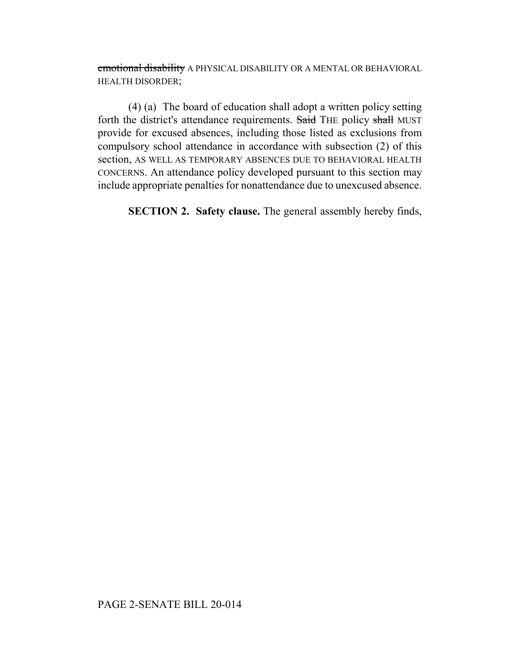emotional disability A PHYSICAL DISABILITY OR A MENTAL OR BEHAVIORAL HEALTH DISORDER;

(4) (a) The board of education shall adopt a written policy setting forth the district's attendance requirements. Said THE policy shall MUST provide for excused absences, including those listed as exclusions from compulsory school attendance in accordance with subsection (2) of this section, AS WELL AS TEMPORARY ABSENCES DUE TO BEHAVIORAL HEALTH CONCERNS. An attendance policy developed pursuant to this section may include appropriate penalties for nonattendance due to unexcused absence.

**SECTION 2. Safety clause.** The general assembly hereby finds,